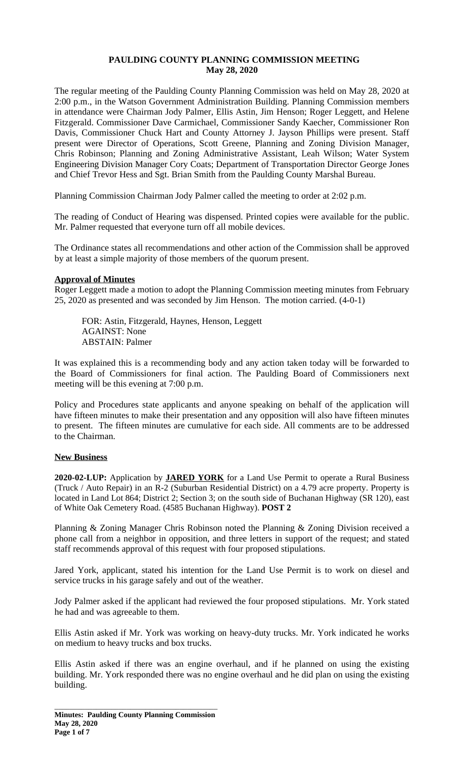# **PAULDING COUNTY PLANNING COMMISSION MEETING May 28, 2020**

The regular meeting of the Paulding County Planning Commission was held on May 28, 2020 at 2:00 p.m., in the Watson Government Administration Building. Planning Commission members in attendance were Chairman Jody Palmer, Ellis Astin, Jim Henson; Roger Leggett, and Helene Fitzgerald. Commissioner Dave Carmichael, Commissioner Sandy Kaecher, Commissioner Ron Davis, Commissioner Chuck Hart and County Attorney J. Jayson Phillips were present. Staff present were Director of Operations, Scott Greene, Planning and Zoning Division Manager, Chris Robinson; Planning and Zoning Administrative Assistant, Leah Wilson; Water System Engineering Division Manager Cory Coats; Department of Transportation Director George Jones and Chief Trevor Hess and Sgt. Brian Smith from the Paulding County Marshal Bureau.

Planning Commission Chairman Jody Palmer called the meeting to order at 2:02 p.m.

The reading of Conduct of Hearing was dispensed. Printed copies were available for the public. Mr. Palmer requested that everyone turn off all mobile devices.

The Ordinance states all recommendations and other action of the Commission shall be approved by at least a simple majority of those members of the quorum present.

## **Approval of Minutes**

Roger Leggett made a motion to adopt the Planning Commission meeting minutes from February 25, 2020 as presented and was seconded by Jim Henson. The motion carried. (4-0-1)

FOR: Astin, Fitzgerald, Haynes, Henson, Leggett AGAINST: None ABSTAIN: Palmer

It was explained this is a recommending body and any action taken today will be forwarded to the Board of Commissioners for final action. The Paulding Board of Commissioners next meeting will be this evening at 7:00 p.m.

Policy and Procedures state applicants and anyone speaking on behalf of the application will have fifteen minutes to make their presentation and any opposition will also have fifteen minutes to present. The fifteen minutes are cumulative for each side. All comments are to be addressed to the Chairman.

## **New Business**

**2020-02-LUP:** Application by **JARED YORK** for a Land Use Permit to operate a Rural Business (Truck / Auto Repair) in an R-2 (Suburban Residential District) on a 4.79 acre property. Property is located in Land Lot 864; District 2; Section 3; on the south side of Buchanan Highway (SR 120), east of White Oak Cemetery Road. (4585 Buchanan Highway). **POST 2**

Planning & Zoning Manager Chris Robinson noted the Planning & Zoning Division received a phone call from a neighbor in opposition, and three letters in support of the request; and stated staff recommends approval of this request with four proposed stipulations.

Jared York, applicant, stated his intention for the Land Use Permit is to work on diesel and service trucks in his garage safely and out of the weather.

Jody Palmer asked if the applicant had reviewed the four proposed stipulations. Mr. York stated he had and was agreeable to them.

Ellis Astin asked if Mr. York was working on heavy-duty trucks. Mr. York indicated he works on medium to heavy trucks and box trucks.

Ellis Astin asked if there was an engine overhaul, and if he planned on using the existing building. Mr. York responded there was no engine overhaul and he did plan on using the existing building.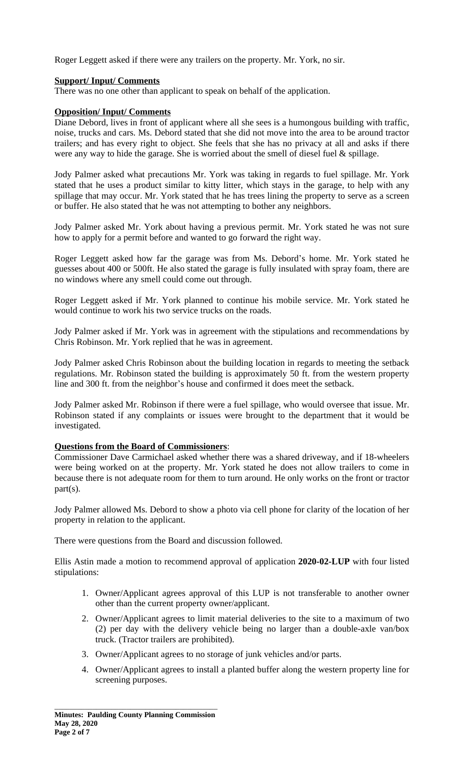Roger Leggett asked if there were any trailers on the property. Mr. York, no sir.

## **Support/ Input/ Comments**

There was no one other than applicant to speak on behalf of the application.

### **Opposition/ Input/ Comments**

Diane Debord, lives in front of applicant where all she sees is a humongous building with traffic, noise, trucks and cars. Ms. Debord stated that she did not move into the area to be around tractor trailers; and has every right to object. She feels that she has no privacy at all and asks if there were any way to hide the garage. She is worried about the smell of diesel fuel & spillage.

Jody Palmer asked what precautions Mr. York was taking in regards to fuel spillage. Mr. York stated that he uses a product similar to kitty litter, which stays in the garage, to help with any spillage that may occur. Mr. York stated that he has trees lining the property to serve as a screen or buffer. He also stated that he was not attempting to bother any neighbors.

Jody Palmer asked Mr. York about having a previous permit. Mr. York stated he was not sure how to apply for a permit before and wanted to go forward the right way.

Roger Leggett asked how far the garage was from Ms. Debord's home. Mr. York stated he guesses about 400 or 500ft. He also stated the garage is fully insulated with spray foam, there are no windows where any smell could come out through.

Roger Leggett asked if Mr. York planned to continue his mobile service. Mr. York stated he would continue to work his two service trucks on the roads.

Jody Palmer asked if Mr. York was in agreement with the stipulations and recommendations by Chris Robinson. Mr. York replied that he was in agreement.

Jody Palmer asked Chris Robinson about the building location in regards to meeting the setback regulations. Mr. Robinson stated the building is approximately 50 ft. from the western property line and 300 ft. from the neighbor's house and confirmed it does meet the setback.

Jody Palmer asked Mr. Robinson if there were a fuel spillage, who would oversee that issue. Mr. Robinson stated if any complaints or issues were brought to the department that it would be investigated.

# **Questions from the Board of Commissioners**:

Commissioner Dave Carmichael asked whether there was a shared driveway, and if 18-wheelers were being worked on at the property. Mr. York stated he does not allow trailers to come in because there is not adequate room for them to turn around. He only works on the front or tractor part(s).

Jody Palmer allowed Ms. Debord to show a photo via cell phone for clarity of the location of her property in relation to the applicant.

There were questions from the Board and discussion followed.

Ellis Astin made a motion to recommend approval of application **2020-02-LUP** with four listed stipulations:

- 1. Owner/Applicant agrees approval of this LUP is not transferable to another owner other than the current property owner/applicant.
- 2. Owner/Applicant agrees to limit material deliveries to the site to a maximum of two (2) per day with the delivery vehicle being no larger than a double-axle van/box truck. (Tractor trailers are prohibited).
- 3. Owner/Applicant agrees to no storage of junk vehicles and/or parts.
- 4. Owner/Applicant agrees to install a planted buffer along the western property line for screening purposes.

\_\_\_\_\_\_\_\_\_\_\_\_\_\_\_\_\_\_\_\_\_\_\_\_\_\_\_\_\_\_\_\_\_\_\_\_\_\_\_\_\_\_\_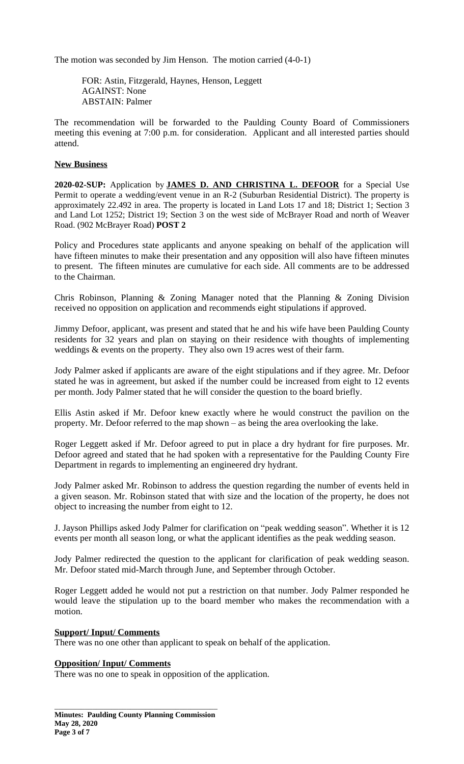The motion was seconded by Jim Henson. The motion carried (4-0-1)

FOR: Astin, Fitzgerald, Haynes, Henson, Leggett AGAINST: None ABSTAIN: Palmer

The recommendation will be forwarded to the Paulding County Board of Commissioners meeting this evening at 7:00 p.m. for consideration. Applicant and all interested parties should attend.

## **New Business**

**2020-02-SUP:** Application by **JAMES D. AND CHRISTINA L. DEFOOR** for a Special Use Permit to operate a wedding/event venue in an R-2 (Suburban Residential District). The property is approximately 22.492 in area. The property is located in Land Lots 17 and 18; District 1; Section 3 and Land Lot 1252; District 19; Section 3 on the west side of McBrayer Road and north of Weaver Road. (902 McBrayer Road) **POST 2**

Policy and Procedures state applicants and anyone speaking on behalf of the application will have fifteen minutes to make their presentation and any opposition will also have fifteen minutes to present. The fifteen minutes are cumulative for each side. All comments are to be addressed to the Chairman.

Chris Robinson, Planning & Zoning Manager noted that the Planning & Zoning Division received no opposition on application and recommends eight stipulations if approved.

Jimmy Defoor, applicant, was present and stated that he and his wife have been Paulding County residents for 32 years and plan on staying on their residence with thoughts of implementing weddings & events on the property. They also own 19 acres west of their farm.

Jody Palmer asked if applicants are aware of the eight stipulations and if they agree. Mr. Defoor stated he was in agreement, but asked if the number could be increased from eight to 12 events per month. Jody Palmer stated that he will consider the question to the board briefly.

Ellis Astin asked if Mr. Defoor knew exactly where he would construct the pavilion on the property. Mr. Defoor referred to the map shown – as being the area overlooking the lake.

Roger Leggett asked if Mr. Defoor agreed to put in place a dry hydrant for fire purposes. Mr. Defoor agreed and stated that he had spoken with a representative for the Paulding County Fire Department in regards to implementing an engineered dry hydrant.

Jody Palmer asked Mr. Robinson to address the question regarding the number of events held in a given season. Mr. Robinson stated that with size and the location of the property, he does not object to increasing the number from eight to 12.

J. Jayson Phillips asked Jody Palmer for clarification on "peak wedding season". Whether it is 12 events per month all season long, or what the applicant identifies as the peak wedding season.

Jody Palmer redirected the question to the applicant for clarification of peak wedding season. Mr. Defoor stated mid-March through June, and September through October.

Roger Leggett added he would not put a restriction on that number. Jody Palmer responded he would leave the stipulation up to the board member who makes the recommendation with a motion.

## **Support/ Input/ Comments**

There was no one other than applicant to speak on behalf of the application.

#### **Opposition/ Input/ Comments**

There was no one to speak in opposition of the application.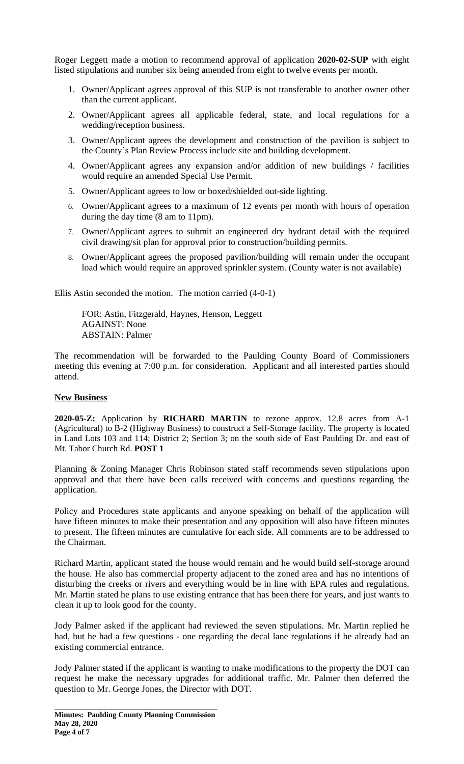Roger Leggett made a motion to recommend approval of application **2020-02-SUP** with eight listed stipulations and number six being amended from eight to twelve events per month.

- 1. Owner/Applicant agrees approval of this SUP is not transferable to another owner other than the current applicant.
- 2. Owner/Applicant agrees all applicable federal, state, and local regulations for a wedding/reception business.
- 3. Owner/Applicant agrees the development and construction of the pavilion is subject to the County's Plan Review Process include site and building development.
- 4. Owner/Applicant agrees any expansion and/or addition of new buildings / facilities would require an amended Special Use Permit.
- 5. Owner/Applicant agrees to low or boxed/shielded out-side lighting.
- 6. Owner/Applicant agrees to a maximum of 12 events per month with hours of operation during the day time (8 am to 11pm).
- 7. Owner/Applicant agrees to submit an engineered dry hydrant detail with the required civil drawing/sit plan for approval prior to construction/building permits.
- 8. Owner/Applicant agrees the proposed pavilion/building will remain under the occupant load which would require an approved sprinkler system. (County water is not available)

Ellis Astin seconded the motion. The motion carried (4-0-1)

FOR: Astin, Fitzgerald, Haynes, Henson, Leggett AGAINST: None ABSTAIN: Palmer

The recommendation will be forwarded to the Paulding County Board of Commissioners meeting this evening at 7:00 p.m. for consideration. Applicant and all interested parties should attend.

# **New Business**

**2020-05-Z:** Application by **RICHARD MARTIN** to rezone approx. 12.8 acres from A-1 (Agricultural) to B-2 (Highway Business) to construct a Self-Storage facility. The property is located in Land Lots 103 and 114; District 2; Section 3; on the south side of East Paulding Dr. and east of Mt. Tabor Church Rd. **POST 1**

Planning & Zoning Manager Chris Robinson stated staff recommends seven stipulations upon approval and that there have been calls received with concerns and questions regarding the application.

Policy and Procedures state applicants and anyone speaking on behalf of the application will have fifteen minutes to make their presentation and any opposition will also have fifteen minutes to present. The fifteen minutes are cumulative for each side. All comments are to be addressed to the Chairman.

Richard Martin, applicant stated the house would remain and he would build self-storage around the house. He also has commercial property adjacent to the zoned area and has no intentions of disturbing the creeks or rivers and everything would be in line with EPA rules and regulations. Mr. Martin stated he plans to use existing entrance that has been there for years, and just wants to clean it up to look good for the county.

Jody Palmer asked if the applicant had reviewed the seven stipulations. Mr. Martin replied he had, but he had a few questions - one regarding the decal lane regulations if he already had an existing commercial entrance.

Jody Palmer stated if the applicant is wanting to make modifications to the property the DOT can request he make the necessary upgrades for additional traffic. Mr. Palmer then deferred the question to Mr. George Jones, the Director with DOT.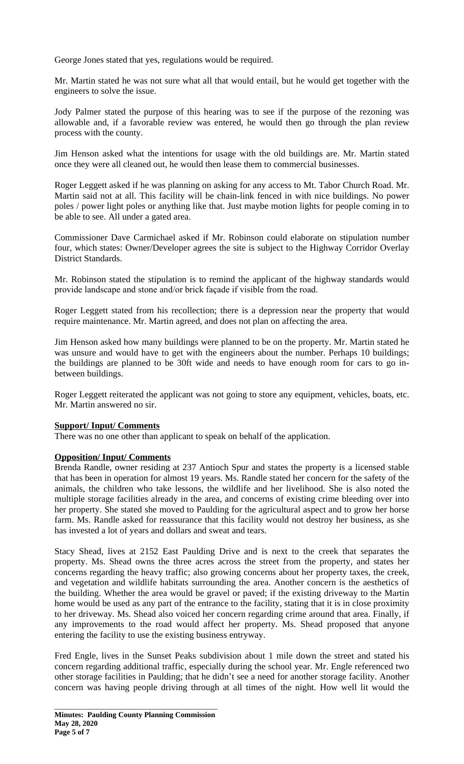George Jones stated that yes, regulations would be required.

Mr. Martin stated he was not sure what all that would entail, but he would get together with the engineers to solve the issue.

Jody Palmer stated the purpose of this hearing was to see if the purpose of the rezoning was allowable and, if a favorable review was entered, he would then go through the plan review process with the county.

Jim Henson asked what the intentions for usage with the old buildings are. Mr. Martin stated once they were all cleaned out, he would then lease them to commercial businesses.

Roger Leggett asked if he was planning on asking for any access to Mt. Tabor Church Road. Mr. Martin said not at all. This facility will be chain-link fenced in with nice buildings. No power poles / power light poles or anything like that. Just maybe motion lights for people coming in to be able to see. All under a gated area.

Commissioner Dave Carmichael asked if Mr. Robinson could elaborate on stipulation number four, which states: Owner/Developer agrees the site is subject to the Highway Corridor Overlay District Standards.

Mr. Robinson stated the stipulation is to remind the applicant of the highway standards would provide landscape and stone and/or brick façade if visible from the road.

Roger Leggett stated from his recollection; there is a depression near the property that would require maintenance. Mr. Martin agreed, and does not plan on affecting the area.

Jim Henson asked how many buildings were planned to be on the property. Mr. Martin stated he was unsure and would have to get with the engineers about the number. Perhaps 10 buildings; the buildings are planned to be 30ft wide and needs to have enough room for cars to go inbetween buildings.

Roger Leggett reiterated the applicant was not going to store any equipment, vehicles, boats, etc. Mr. Martin answered no sir.

# **Support/ Input/ Comments**

There was no one other than applicant to speak on behalf of the application.

## **Opposition/ Input/ Comments**

Brenda Randle, owner residing at 237 Antioch Spur and states the property is a licensed stable that has been in operation for almost 19 years. Ms. Randle stated her concern for the safety of the animals, the children who take lessons, the wildlife and her livelihood. She is also noted the multiple storage facilities already in the area, and concerns of existing crime bleeding over into her property. She stated she moved to Paulding for the agricultural aspect and to grow her horse farm. Ms. Randle asked for reassurance that this facility would not destroy her business, as she has invested a lot of years and dollars and sweat and tears.

Stacy Shead, lives at 2152 East Paulding Drive and is next to the creek that separates the property. Ms. Shead owns the three acres across the street from the property, and states her concerns regarding the heavy traffic; also growing concerns about her property taxes, the creek, and vegetation and wildlife habitats surrounding the area. Another concern is the aesthetics of the building. Whether the area would be gravel or paved; if the existing driveway to the Martin home would be used as any part of the entrance to the facility, stating that it is in close proximity to her driveway. Ms. Shead also voiced her concern regarding crime around that area. Finally, if any improvements to the road would affect her property. Ms. Shead proposed that anyone entering the facility to use the existing business entryway.

Fred Engle, lives in the Sunset Peaks subdivision about 1 mile down the street and stated his concern regarding additional traffic, especially during the school year. Mr. Engle referenced two other storage facilities in Paulding; that he didn't see a need for another storage facility. Another concern was having people driving through at all times of the night. How well lit would the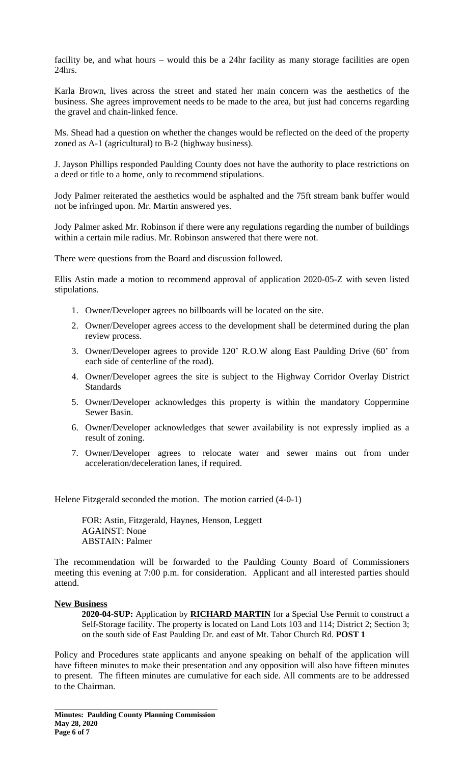facility be, and what hours – would this be a 24hr facility as many storage facilities are open 24hrs.

Karla Brown, lives across the street and stated her main concern was the aesthetics of the business. She agrees improvement needs to be made to the area, but just had concerns regarding the gravel and chain-linked fence.

Ms. Shead had a question on whether the changes would be reflected on the deed of the property zoned as A-1 (agricultural) to B-2 (highway business).

J. Jayson Phillips responded Paulding County does not have the authority to place restrictions on a deed or title to a home, only to recommend stipulations.

Jody Palmer reiterated the aesthetics would be asphalted and the 75ft stream bank buffer would not be infringed upon. Mr. Martin answered yes.

Jody Palmer asked Mr. Robinson if there were any regulations regarding the number of buildings within a certain mile radius. Mr. Robinson answered that there were not.

There were questions from the Board and discussion followed.

Ellis Astin made a motion to recommend approval of application 2020-05-Z with seven listed stipulations.

- 1. Owner/Developer agrees no billboards will be located on the site.
- 2. Owner/Developer agrees access to the development shall be determined during the plan review process.
- 3. Owner/Developer agrees to provide 120' R.O.W along East Paulding Drive (60' from each side of centerline of the road).
- 4. Owner/Developer agrees the site is subject to the Highway Corridor Overlay District **Standards**
- 5. Owner/Developer acknowledges this property is within the mandatory Coppermine Sewer Basin.
- 6. Owner/Developer acknowledges that sewer availability is not expressly implied as a result of zoning.
- 7. Owner/Developer agrees to relocate water and sewer mains out from under acceleration/deceleration lanes, if required.

Helene Fitzgerald seconded the motion. The motion carried (4-0-1)

FOR: Astin, Fitzgerald, Haynes, Henson, Leggett AGAINST: None ABSTAIN: Palmer

The recommendation will be forwarded to the Paulding County Board of Commissioners meeting this evening at 7:00 p.m. for consideration. Applicant and all interested parties should attend.

## **New Business**

**2020-04-SUP:** Application by **RICHARD MARTIN** for a Special Use Permit to construct a Self-Storage facility. The property is located on Land Lots 103 and 114; District 2; Section 3; on the south side of East Paulding Dr. and east of Mt. Tabor Church Rd. **POST 1**

Policy and Procedures state applicants and anyone speaking on behalf of the application will have fifteen minutes to make their presentation and any opposition will also have fifteen minutes to present. The fifteen minutes are cumulative for each side. All comments are to be addressed to the Chairman.